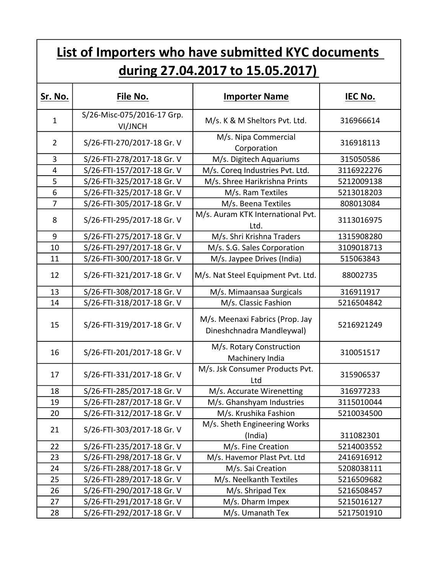| List of Importers who have submitted KYC documents |                                       |                                                              |            |  |  |
|----------------------------------------------------|---------------------------------------|--------------------------------------------------------------|------------|--|--|
|                                                    | during 27.04.2017 to 15.05.2017)      |                                                              |            |  |  |
| Sr. No.                                            | File No.                              | <b>Importer Name</b>                                         | IEC No.    |  |  |
| $\mathbf{1}$                                       | S/26-Misc-075/2016-17 Grp.<br>VI/JNCH | M/s. K & M Sheltors Pvt. Ltd.                                | 316966614  |  |  |
| $\overline{2}$                                     | S/26-FTI-270/2017-18 Gr. V            | M/s. Nipa Commercial<br>Corporation                          | 316918113  |  |  |
| 3                                                  | S/26-FTI-278/2017-18 Gr. V            | M/s. Digitech Aquariums                                      | 315050586  |  |  |
| 4                                                  | S/26-FTI-157/2017-18 Gr. V            | M/s. Coreq Industries Pvt. Ltd.                              | 3116922276 |  |  |
| 5                                                  | S/26-FTI-325/2017-18 Gr. V            | M/s. Shree Harikrishna Prints                                | 5212009138 |  |  |
| 6                                                  | S/26-FTI-325/2017-18 Gr. V            | M/s. Ram Textiles                                            | 5213018203 |  |  |
| $\overline{7}$                                     | S/26-FTI-305/2017-18 Gr. V            | M/s. Beena Textiles                                          | 808013084  |  |  |
| 8                                                  | S/26-FTI-295/2017-18 Gr. V            | M/s. Auram KTK International Pvt.<br>Ltd.                    | 3113016975 |  |  |
| 9                                                  | S/26-FTI-275/2017-18 Gr. V            | M/s. Shri Krishna Traders                                    | 1315908280 |  |  |
| 10                                                 | S/26-FTI-297/2017-18 Gr. V            | M/s. S.G. Sales Corporation                                  | 3109018713 |  |  |
| 11                                                 | S/26-FTI-300/2017-18 Gr. V            | M/s. Jaypee Drives (India)                                   | 515063843  |  |  |
| 12                                                 | S/26-FTI-321/2017-18 Gr. V            | M/s. Nat Steel Equipment Pvt. Ltd.                           | 88002735   |  |  |
| 13                                                 | S/26-FTI-308/2017-18 Gr. V            | M/s. Mimaansaa Surgicals                                     | 316911917  |  |  |
| 14                                                 | S/26-FTI-318/2017-18 Gr. V            | M/s. Classic Fashion                                         | 5216504842 |  |  |
| 15                                                 | S/26-FTI-319/2017-18 Gr. V            | M/s. Meenaxi Fabrics (Prop. Jay<br>Dineshchnadra Mandleywal) | 5216921249 |  |  |
| 16                                                 | S/26-FTI-201/2017-18 Gr. V            | M/s. Rotary Construction<br>Machinery India                  | 310051517  |  |  |
| 17                                                 | S/26-FTI-331/2017-18 Gr. V            | M/s. Jsk Consumer Products Pvt.<br>Ltd                       | 315906537  |  |  |
| 18                                                 | S/26-FTI-285/2017-18 Gr. V            | M/s. Accurate Wirenetting                                    | 316977233  |  |  |
| 19                                                 | S/26-FTI-287/2017-18 Gr. V            | M/s. Ghanshyam Industries                                    | 3115010044 |  |  |
| 20                                                 | S/26-FTI-312/2017-18 Gr. V            | M/s. Krushika Fashion                                        | 5210034500 |  |  |
| 21                                                 | S/26-FTI-303/2017-18 Gr. V            | M/s. Sheth Engineering Works<br>(India)                      | 311082301  |  |  |
| 22                                                 | S/26-FTI-235/2017-18 Gr. V            | M/s. Fine Creation                                           | 5214003552 |  |  |
| 23                                                 | S/26-FTI-298/2017-18 Gr. V            | M/s. Havemor Plast Pvt. Ltd                                  | 2416916912 |  |  |
| 24                                                 | S/26-FTI-288/2017-18 Gr. V            | M/s. Sai Creation                                            | 5208038111 |  |  |
| 25                                                 | S/26-FTI-289/2017-18 Gr. V            | M/s. Neelkanth Textiles                                      | 5216509682 |  |  |
| 26                                                 | S/26-FTI-290/2017-18 Gr. V            | M/s. Shripad Tex                                             | 5216508457 |  |  |
| 27                                                 | S/26-FTI-291/2017-18 Gr. V            | M/s. Dharm Impex                                             | 5215016127 |  |  |
| 28                                                 | S/26-FTI-292/2017-18 Gr. V            | M/s. Umanath Tex                                             | 5217501910 |  |  |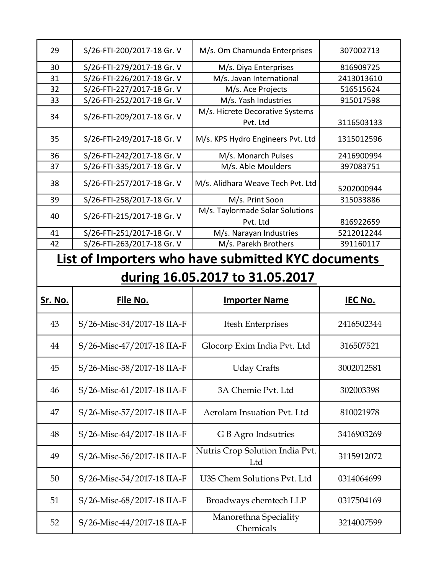| 29             | S/26-FTI-200/2017-18 Gr. V      | M/s. Om Chamunda Enterprises                       | 307002713      |  |
|----------------|---------------------------------|----------------------------------------------------|----------------|--|
| 30             | S/26-FTI-279/2017-18 Gr. V      | M/s. Diya Enterprises                              | 816909725      |  |
| 31             | S/26-FTI-226/2017-18 Gr. V      | M/s. Javan International                           | 2413013610     |  |
| 32             | S/26-FTI-227/2017-18 Gr. V      | M/s. Ace Projects                                  | 516515624      |  |
| 33             | S/26-FTI-252/2017-18 Gr. V      | M/s. Yash Industries                               | 915017598      |  |
|                |                                 | M/s. Hicrete Decorative Systems                    |                |  |
| 34             | S/26-FTI-209/2017-18 Gr. V      | Pvt. Ltd                                           | 3116503133     |  |
| 35             | S/26-FTI-249/2017-18 Gr. V      | M/s. KPS Hydro Engineers Pvt. Ltd                  | 1315012596     |  |
| 36             | S/26-FTI-242/2017-18 Gr. V      | M/s. Monarch Pulses                                | 2416900994     |  |
| 37             | S/26-FTI-335/2017-18 Gr. V      | M/s. Able Moulders                                 | 397083751      |  |
| 38             | S/26-FTI-257/2017-18 Gr. V      | M/s. Alidhara Weave Tech Pvt. Ltd                  | 5202000944     |  |
| 39             | S/26-FTI-258/2017-18 Gr. V      | M/s. Print Soon                                    | 315033886      |  |
| 40             | S/26-FTI-215/2017-18 Gr. V      | M/s. Taylormade Solar Solutions                    |                |  |
|                |                                 | Pvt. Ltd                                           | 816922659      |  |
| 41             | S/26-FTI-251/2017-18 Gr. V      | M/s. Narayan Industries                            | 5212012244     |  |
| 42             | S/26-FTI-263/2017-18 Gr. V      | M/s. Parekh Brothers                               | 391160117      |  |
|                |                                 | List of Importers who have submitted KYC documents |                |  |
|                |                                 |                                                    |                |  |
|                | during 16.05.2017 to 31.05.2017 |                                                    |                |  |
|                |                                 |                                                    |                |  |
|                |                                 |                                                    |                |  |
| <b>Sr. No.</b> | File No.                        | <b>Importer Name</b>                               | <b>IEC No.</b> |  |
| 43             | S/26-Misc-34/2017-18 IIA-F      | Itesh Enterprises                                  | 2416502344     |  |
| 44             | S/26-Misc-47/2017-18 IIA-F      | Glocorp Exim India Pvt. Ltd                        | 316507521      |  |
| 45             | S/26-Misc-58/2017-18 IIA-F      | <b>Uday Crafts</b>                                 | 3002012581     |  |
| 46             | S/26-Misc-61/2017-18 IIA-F      | 3A Chemie Pvt. Ltd                                 | 302003398      |  |
| 47             | S/26-Misc-57/2017-18 IIA-F      | Aerolam Insuation Pvt. Ltd                         | 810021978      |  |
| 48             | S/26-Misc-64/2017-18 IIA-F      | G B Agro Indsutries                                | 3416903269     |  |
| 49             | S/26-Misc-56/2017-18 IIA-F      | Nutris Crop Solution India Pvt.<br>Ltd             | 3115912072     |  |
| 50             | S/26-Misc-54/2017-18 IIA-F      | U3S Chem Solutions Pvt. Ltd                        | 0314064699     |  |
| 51             | S/26-Misc-68/2017-18 IIA-F      | Broadways chemtech LLP                             | 0317504169     |  |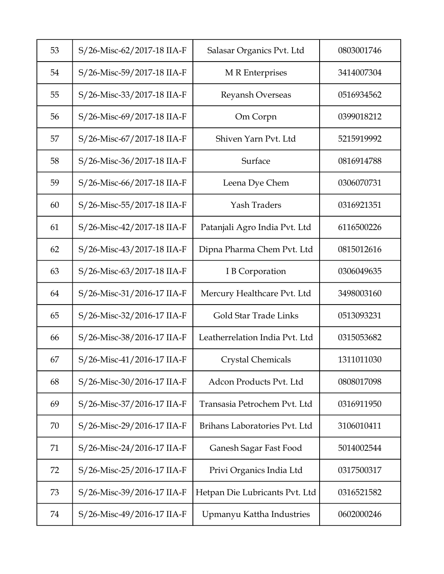| 53 | S/26-Misc-62/2017-18 IIA-F | Salasar Organics Pvt. Ltd      | 0803001746 |
|----|----------------------------|--------------------------------|------------|
| 54 | S/26-Misc-59/2017-18 IIA-F | M R Enterprises                | 3414007304 |
| 55 | S/26-Misc-33/2017-18 IIA-F | Reyansh Overseas               | 0516934562 |
| 56 | S/26-Misc-69/2017-18 IIA-F | Om Corpn                       | 0399018212 |
| 57 | S/26-Misc-67/2017-18 IIA-F | Shiven Yarn Pvt. Ltd           | 5215919992 |
| 58 | S/26-Misc-36/2017-18 IIA-F | Surface                        | 0816914788 |
| 59 | S/26-Misc-66/2017-18 IIA-F | Leena Dye Chem                 | 0306070731 |
| 60 | S/26-Misc-55/2017-18 IIA-F | <b>Yash Traders</b>            | 0316921351 |
| 61 | S/26-Misc-42/2017-18 IIA-F | Patanjali Agro India Pvt. Ltd  | 6116500226 |
| 62 | S/26-Misc-43/2017-18 IIA-F | Dipna Pharma Chem Pvt. Ltd     | 0815012616 |
| 63 | S/26-Misc-63/2017-18 IIA-F | I B Corporation                | 0306049635 |
| 64 | S/26-Misc-31/2016-17 IIA-F | Mercury Healthcare Pvt. Ltd    | 3498003160 |
| 65 | S/26-Misc-32/2016-17 IIA-F | Gold Star Trade Links          | 0513093231 |
| 66 | S/26-Misc-38/2016-17 IIA-F | Leatherrelation India Pvt. Ltd | 0315053682 |
| 67 | S/26-Misc-41/2016-17 IIA-F | Crystal Chemicals              | 1311011030 |
| 68 | S/26-Misc-30/2016-17 IIA-F | Adcon Products Pvt. Ltd        | 0808017098 |
| 69 | S/26-Misc-37/2016-17 IIA-F | Transasia Petrochem Pvt. Ltd   | 0316911950 |
| 70 | S/26-Misc-29/2016-17 IIA-F | Brihans Laboratories Pvt. Ltd  | 3106010411 |
| 71 | S/26-Misc-24/2016-17 IIA-F | Ganesh Sagar Fast Food         | 5014002544 |
| 72 | S/26-Misc-25/2016-17 IIA-F | Privi Organics India Ltd       | 0317500317 |
| 73 | S/26-Misc-39/2016-17 IIA-F | Hetpan Die Lubricants Pvt. Ltd | 0316521582 |
| 74 | S/26-Misc-49/2016-17 IIA-F | Upmanyu Kattha Industries      | 0602000246 |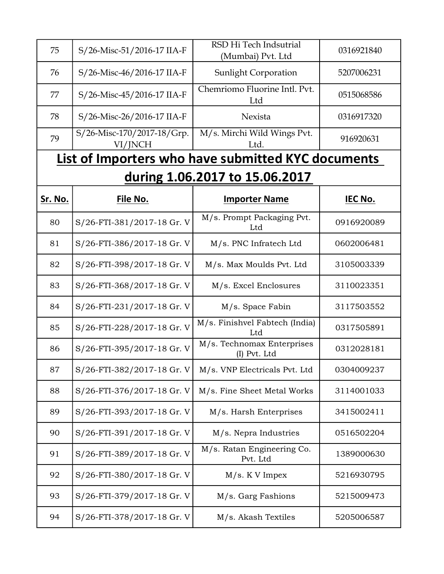| 75             | S/26-Misc-51/2016-17 IIA-F            | RSD Hi Tech Indsutrial<br>(Mumbai) Pvt. Ltd        | 0316921840     |
|----------------|---------------------------------------|----------------------------------------------------|----------------|
| 76             | S/26-Misc-46/2016-17 IIA-F            | <b>Sunlight Corporation</b>                        | 5207006231     |
| 77             | S/26-Misc-45/2016-17 IIA-F            | Chemriomo Fluorine Intl. Pvt.<br>Ltd               | 0515068586     |
| 78             | S/26-Misc-26/2016-17 IIA-F            | Nexista                                            | 0316917320     |
| 79             | S/26-Misc-170/2017-18/Grp.<br>VI/JNCH | M/s. Mirchi Wild Wings Pvt.<br>Ltd.                | 916920631      |
|                |                                       | List of Importers who have submitted KYC documents |                |
|                |                                       | during 1.06.2017 to 15.06.2017                     |                |
| <u>Sr. No.</u> | <u>File No.</u>                       | <b>Importer Name</b>                               | <b>IEC No.</b> |
| 80             | S/26-FTI-381/2017-18 Gr. V            | M/s. Prompt Packaging Pvt.<br>Ltd                  | 0916920089     |
| 81             | S/26-FTI-386/2017-18 Gr. V            | M/s. PNC Infratech Ltd                             | 0602006481     |
| 82             | S/26-FTI-398/2017-18 Gr. V            | M/s. Max Moulds Pvt. Ltd                           | 3105003339     |
| 83             | S/26-FTI-368/2017-18 Gr. V            | M/s. Excel Enclosures                              | 3110023351     |
| 84             | S/26-FTI-231/2017-18 Gr. V            | M/s. Space Fabin                                   | 3117503552     |
| 85             | S/26-FTI-228/2017-18 Gr. V            | M/s. Finishvel Fabtech (India)<br>Ltd              | 0317505891     |
| 86             | S/26-FTI-395/2017-18 Gr. V            | M/s. Technomax Enterprises<br>(I) Pvt. Ltd         | 0312028181     |
| 87             | S/26-FTI-382/2017-18 Gr. V            | M/s. VNP Electricals Pvt. Ltd                      | 0304009237     |
| 88             | S/26-FTI-376/2017-18 Gr. V            | M/s. Fine Sheet Metal Works                        | 3114001033     |
| 89             | S/26-FTI-393/2017-18 Gr. V            | M/s. Harsh Enterprises                             | 3415002411     |
| 90             | S/26-FTI-391/2017-18 Gr. V            | M/s. Nepra Industries                              | 0516502204     |
| 91             | S/26-FTI-389/2017-18 Gr. V            | M/s. Ratan Engineering Co.<br>Pvt. Ltd             | 1389000630     |
| 92             | S/26-FTI-380/2017-18 Gr. V            | $M/s.$ K V Impex                                   | 5216930795     |
| 93             | S/26-FTI-379/2017-18 Gr. V            | M/s. Garg Fashions                                 | 5215009473     |
| 94             | S/26-FTI-378/2017-18 Gr. V            | M/s. Akash Textiles                                | 5205006587     |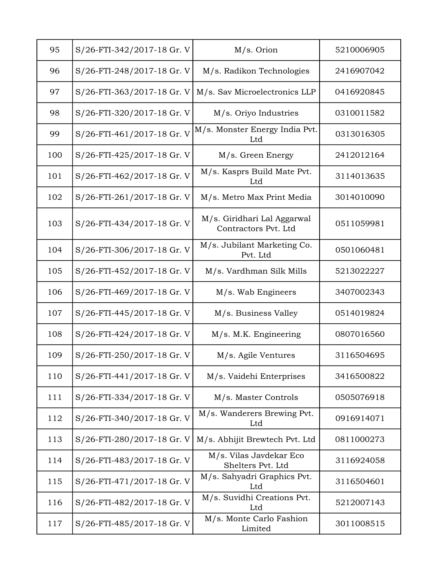| 95  | S/26-FTI-342/2017-18 Gr. V | $M/s.$ Orion                                        | 5210006905 |
|-----|----------------------------|-----------------------------------------------------|------------|
| 96  | S/26-FTI-248/2017-18 Gr. V | M/s. Radikon Technologies                           | 2416907042 |
| 97  | S/26-FTI-363/2017-18 Gr. V | M/s. Sav Microelectronics LLP                       | 0416920845 |
| 98  | S/26-FTI-320/2017-18 Gr. V | M/s. Oriyo Industries                               | 0310011582 |
| 99  | S/26-FTI-461/2017-18 Gr. V | M/s. Monster Energy India Pvt.<br>Ltd               | 0313016305 |
| 100 | S/26-FTI-425/2017-18 Gr. V | M/s. Green Energy                                   | 2412012164 |
| 101 | S/26-FTI-462/2017-18 Gr. V | M/s. Kasprs Build Mate Pvt.<br>Ltd                  | 3114013635 |
| 102 | S/26-FTI-261/2017-18 Gr. V | M/s. Metro Max Print Media                          | 3014010090 |
| 103 | S/26-FTI-434/2017-18 Gr. V | M/s. Giridhari Lal Aggarwal<br>Contractors Pvt. Ltd | 0511059981 |
| 104 | S/26-FTI-306/2017-18 Gr. V | M/s. Jubilant Marketing Co.<br>Pvt. Ltd             | 0501060481 |
| 105 | S/26-FTI-452/2017-18 Gr. V | M/s. Vardhman Silk Mills                            | 5213022227 |
| 106 | S/26-FTI-469/2017-18 Gr. V | M/s. Wab Engineers                                  | 3407002343 |
| 107 | S/26-FTI-445/2017-18 Gr. V | M/s. Business Valley                                | 0514019824 |
| 108 | S/26-FTI-424/2017-18 Gr. V | M/s. M.K. Engineering                               | 0807016560 |
| 109 | S/26-FTI-250/2017-18 Gr. V | M/s. Agile Ventures                                 | 3116504695 |
| 110 | S/26-FTI-441/2017-18 Gr. V | M/s. Vaidehi Enterprises                            | 3416500822 |
| 111 | S/26-FTI-334/2017-18 Gr. V | M/s. Master Controls                                | 0505076918 |
| 112 | S/26-FTI-340/2017-18 Gr. V | M/s. Wanderers Brewing Pvt.<br>Ltd                  | 0916914071 |
| 113 | S/26-FTI-280/2017-18 Gr. V | M/s. Abhijit Brewtech Pvt. Ltd                      | 0811000273 |
| 114 | S/26-FTI-483/2017-18 Gr. V | M/s. Vilas Javdekar Eco<br>Shelters Pvt. Ltd        | 3116924058 |
| 115 | S/26-FTI-471/2017-18 Gr. V | M/s. Sahyadri Graphics Pvt.<br>Ltd                  | 3116504601 |
| 116 | S/26-FTI-482/2017-18 Gr. V | M/s. Suvidhi Creations Pvt.<br>Ltd                  | 5212007143 |
| 117 | S/26-FTI-485/2017-18 Gr. V | M/s. Monte Carlo Fashion<br>Limited                 | 3011008515 |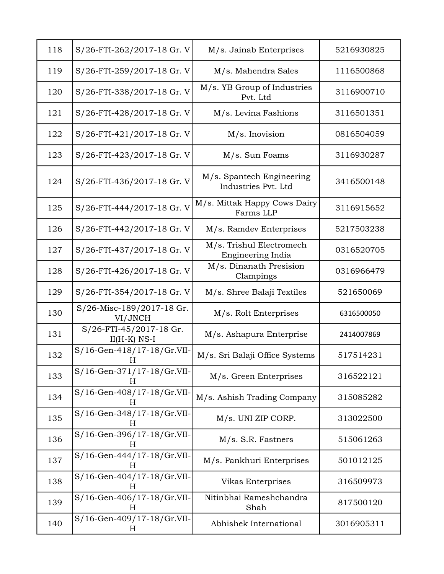| 118 | S/26-FTI-262/2017-18 Gr. V                | M/s. Jainab Enterprises                          | 5216930825 |
|-----|-------------------------------------------|--------------------------------------------------|------------|
| 119 | S/26-FTI-259/2017-18 Gr. V                | M/s. Mahendra Sales                              | 1116500868 |
| 120 | S/26-FTI-338/2017-18 Gr. V                | M/s. YB Group of Industries<br>Pvt. Ltd          | 3116900710 |
| 121 | S/26-FTI-428/2017-18 Gr. V                | M/s. Levina Fashions                             | 3116501351 |
| 122 | S/26-FTI-421/2017-18 Gr. V                | $M/s$ . Inovision                                | 0816504059 |
| 123 | S/26-FTI-423/2017-18 Gr. V                | M/s. Sun Foams                                   | 3116930287 |
| 124 | S/26-FTI-436/2017-18 Gr. V                | M/s. Spantech Engineering<br>Industries Pvt. Ltd | 3416500148 |
| 125 | S/26-FTI-444/2017-18 Gr. V                | M/s. Mittak Happy Cows Dairy<br>Farms LLP        | 3116915652 |
| 126 | S/26-FTI-442/2017-18 Gr. V                | M/s. Ramdev Enterprises                          | 5217503238 |
| 127 | S/26-FTI-437/2017-18 Gr. V                | M/s. Trishul Electromech<br>Engineering India    | 0316520705 |
| 128 | S/26-FTI-426/2017-18 Gr. V                | M/s. Dinanath Presision<br>Clampings             | 0316966479 |
| 129 | S/26-FTI-354/2017-18 Gr. V                | M/s. Shree Balaji Textiles                       | 521650069  |
| 130 | S/26-Misc-189/2017-18 Gr.<br>VI/JNCH      | M/s. Rolt Enterprises                            | 6316500050 |
| 131 | S/26-FTI-45/2017-18 Gr.<br>$II(H-K)$ NS-I | M/s. Ashapura Enterprise                         | 2414007869 |
| 132 | S/16-Gen-418/17-18/Gr.VII-<br>н           | M/s. Sri Balaji Office Systems                   | 517514231  |
| 133 | S/16-Gen-371/17-18/Gr.VII-<br>H           | M/s. Green Enterprises                           | 316522121  |
| 134 | S/16-Gen-408/17-18/Gr.VII-<br>H           | M/s. Ashish Trading Company                      | 315085282  |
| 135 | S/16-Gen-348/17-18/Gr.VII-<br>н           | M/s. UNI ZIP CORP.                               | 313022500  |
| 136 | S/16-Gen-396/17-18/Gr.VII-<br>H           | M/s. S.R. Fastners                               | 515061263  |
| 137 | S/16-Gen-444/17-18/Gr.VII-<br>H           | M/s. Pankhuri Enterprises                        | 501012125  |
| 138 | S/16-Gen-404/17-18/Gr.VII-<br>H           | Vikas Enterprises                                | 316509973  |
| 139 | S/16-Gen-406/17-18/Gr.VII-<br>H           | Nitinbhai Rameshchandra<br>Shah                  | 817500120  |
| 140 | S/16-Gen-409/17-18/Gr.VII-<br>H           | Abhishek International                           | 3016905311 |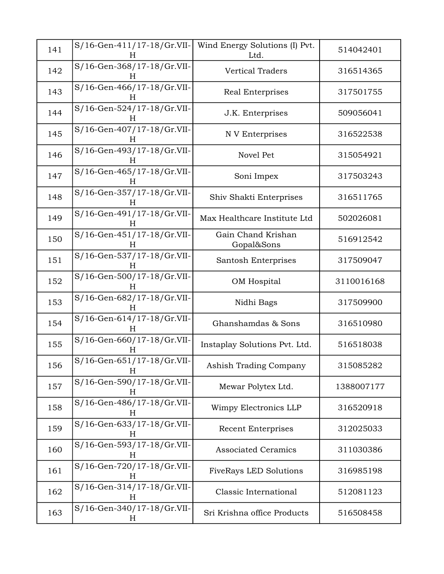| 141 | S/16-Gen-411/17-18/Gr.VII-<br>H  | Wind Energy Solutions (I) Pvt.<br>Ltd. | 514042401  |
|-----|----------------------------------|----------------------------------------|------------|
| 142 | S/16-Gen-368/17-18/Gr.VII-<br>H  | Vertical Traders                       | 316514365  |
| 143 | S/16-Gen-466/17-18/Gr.VII-<br>H  | Real Enterprises                       | 317501755  |
| 144 | S/16-Gen-524/17-18/Gr.VII-<br>H  | J.K. Enterprises                       | 509056041  |
| 145 | S/16-Gen-407/17-18/Gr.VII-<br>H  | N V Enterprises                        | 316522538  |
| 146 | S/16-Gen-493/17-18/Gr.VII-<br>H  | Novel Pet                              | 315054921  |
| 147 | S/16-Gen-465/17-18/Gr.VII-<br>H. | Soni Impex                             | 317503243  |
| 148 | S/16-Gen-357/17-18/Gr.VII-<br>H  | Shiv Shakti Enterprises                | 316511765  |
| 149 | S/16-Gen-491/17-18/Gr.VII-<br>H  | Max Healthcare Institute Ltd           | 502026081  |
| 150 | S/16-Gen-451/17-18/Gr.VII-<br>H  | Gain Chand Krishan<br>Gopal&Sons       | 516912542  |
| 151 | S/16-Gen-537/17-18/Gr.VII-<br>H  | Santosh Enterprises                    | 317509047  |
| 152 | S/16-Gen-500/17-18/Gr.VII-<br>н  | OM Hospital                            | 3110016168 |
| 153 | S/16-Gen-682/17-18/Gr.VII-<br>H  | Nidhi Bags                             | 317509900  |
| 154 | S/16-Gen-614/17-18/Gr.VII-<br>H  | Ghanshamdas & Sons                     | 316510980  |
| 155 | S/16-Gen-660/17-18/Gr.VII-<br>H  | Instaplay Solutions Pvt. Ltd.          | 516518038  |
| 156 | S/16-Gen-651/17-18/Gr.VII-<br>H  | Ashish Trading Company                 | 315085282  |
| 157 | S/16-Gen-590/17-18/Gr.VII-<br>H  | Mewar Polytex Ltd.                     | 1388007177 |
| 158 | S/16-Gen-486/17-18/Gr.VII-<br>н  | Wimpy Electronics LLP                  | 316520918  |
| 159 | S/16-Gen-633/17-18/Gr.VII-<br>H  | <b>Recent Enterprises</b>              | 312025033  |
| 160 | S/16-Gen-593/17-18/Gr.VII-<br>Н  | <b>Associated Ceramics</b>             | 311030386  |
| 161 | S/16-Gen-720/17-18/Gr.VII-<br>H  | <b>FiveRays LED Solutions</b>          | 316985198  |
| 162 | S/16-Gen-314/17-18/Gr.VII-<br>H  | Classic International                  | 512081123  |
| 163 | S/16-Gen-340/17-18/Gr.VII-<br>H  | Sri Krishna office Products            | 516508458  |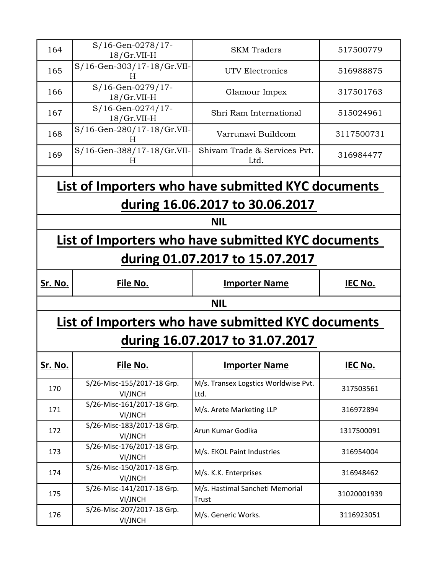| 164            | S/16-Gen-0278/17-<br>$18/Gr.VII-H$    | <b>SKM</b> Traders                                 | 517500779      |
|----------------|---------------------------------------|----------------------------------------------------|----------------|
| 165            | S/16-Gen-303/17-18/Gr.VII-<br>H.      | UTV Electronics                                    | 516988875      |
| 166            | S/16-Gen-0279/17-<br>$18/Gr.VII-H$    | Glamour Impex                                      | 317501763      |
| 167            | S/16-Gen-0274/17-<br>$18/Gr.VII-H$    | Shri Ram International                             | 515024961      |
| 168            | S/16-Gen-280/17-18/Gr.VII-<br>H       | Varrunavi Buildcom                                 | 3117500731     |
| 169            | S/16-Gen-388/17-18/Gr.VII-<br>H       | Shivam Trade & Services Pvt.<br>Ltd.               | 316984477      |
|                |                                       | List of Importers who have submitted KYC documents |                |
|                |                                       | during 16.06.2017 to 30.06.2017                    |                |
|                |                                       | <b>NIL</b>                                         |                |
|                |                                       | List of Importers who have submitted KYC documents |                |
|                |                                       | during 01.07.2017 to 15.07.2017                    |                |
| <u>Sr. No.</u> | File No.                              | <b>Importer Name</b>                               | IEC No.        |
|                |                                       | <b>NIL</b>                                         |                |
|                |                                       | List of Importers who have submitted KYC documents |                |
|                |                                       | during 16.07.2017 to 31.07.2017                    |                |
| <b>Sr. No.</b> | File No.                              | <b>Importer Name</b>                               | <u>IEC No.</u> |
| 170            | S/26-Misc-155/2017-18 Grp.<br>VI/JNCH | M/s. Transex Logstics Worldwise Pvt.<br>Ltd.       | 317503561      |
| 171            | S/26-Misc-161/2017-18 Grp.<br>VI/JNCH | M/s. Arete Marketing LLP                           | 316972894      |
| 172            | S/26-Misc-183/2017-18 Grp.<br>VI/JNCH | Arun Kumar Godika                                  | 1317500091     |
| 173            | S/26-Misc-176/2017-18 Grp.<br>VI/JNCH | M/s. EKOL Paint Industries                         | 316954004      |
| 174            | S/26-Misc-150/2017-18 Grp.<br>VI/JNCH | M/s. K.K. Enterprises                              | 316948462      |
| 175            | S/26-Misc-141/2017-18 Grp.<br>VI/JNCH | M/s. Hastimal Sancheti Memorial<br><b>Trust</b>    | 31020001939    |
| 176            | S/26-Misc-207/2017-18 Grp.<br>VI/JNCH | M/s. Generic Works.                                | 3116923051     |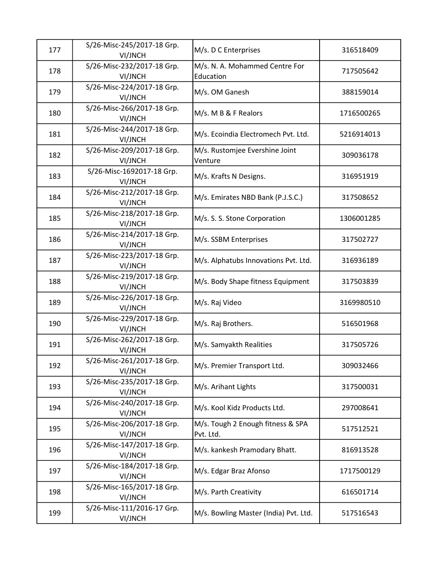| 177 | S/26-Misc-245/2017-18 Grp.<br>VI/JNCH | M/s. D C Enterprises                           | 316518409  |
|-----|---------------------------------------|------------------------------------------------|------------|
| 178 | S/26-Misc-232/2017-18 Grp.<br>VI/JNCH | M/s. N. A. Mohammed Centre For<br>Education    | 717505642  |
| 179 | S/26-Misc-224/2017-18 Grp.<br>VI/JNCH | M/s. OM Ganesh                                 | 388159014  |
| 180 | S/26-Misc-266/2017-18 Grp.<br>VI/JNCH | M/s. M B & F Realors                           | 1716500265 |
| 181 | S/26-Misc-244/2017-18 Grp.<br>VI/JNCH | M/s. Ecoindia Electromech Pvt. Ltd.            | 5216914013 |
| 182 | S/26-Misc-209/2017-18 Grp.<br>VI/JNCH | M/s. Rustomjee Evershine Joint<br>Venture      | 309036178  |
| 183 | S/26-Misc-1692017-18 Grp.<br>VI/JNCH  | M/s. Krafts N Designs.                         | 316951919  |
| 184 | S/26-Misc-212/2017-18 Grp.<br>VI/JNCH | M/s. Emirates NBD Bank (P.J.S.C.)              | 317508652  |
| 185 | S/26-Misc-218/2017-18 Grp.<br>VI/JNCH | M/s. S. S. Stone Corporation                   | 1306001285 |
| 186 | S/26-Misc-214/2017-18 Grp.<br>VI/JNCH | M/s. SSBM Enterprises                          | 317502727  |
| 187 | S/26-Misc-223/2017-18 Grp.<br>VI/JNCH | M/s. Alphatubs Innovations Pvt. Ltd.           | 316936189  |
| 188 | S/26-Misc-219/2017-18 Grp.<br>VI/JNCH | M/s. Body Shape fitness Equipment              | 317503839  |
| 189 | S/26-Misc-226/2017-18 Grp.<br>VI/JNCH | M/s. Raj Video                                 | 3169980510 |
| 190 | S/26-Misc-229/2017-18 Grp.<br>VI/JNCH | M/s. Raj Brothers.                             | 516501968  |
| 191 | S/26-Misc-262/2017-18 Grp.<br>VI/JNCH | M/s. Samyakth Realities                        | 317505726  |
| 192 | S/26-Misc-261/2017-18 Grp.<br>VI/JNCH | M/s. Premier Transport Ltd.                    | 309032466  |
| 193 | S/26-Misc-235/2017-18 Grp.<br>VI/JNCH | M/s. Arihant Lights                            | 317500031  |
| 194 | S/26-Misc-240/2017-18 Grp.<br>VI/JNCH | M/s. Kool Kidz Products Ltd.                   | 297008641  |
| 195 | S/26-Misc-206/2017-18 Grp.<br>VI/JNCH | M/s. Tough 2 Enough fitness & SPA<br>Pvt. Ltd. | 517512521  |
| 196 | S/26-Misc-147/2017-18 Grp.<br>VI/JNCH | M/s. kankesh Pramodary Bhatt.                  | 816913528  |
| 197 | S/26-Misc-184/2017-18 Grp.<br>VI/JNCH | M/s. Edgar Braz Afonso                         | 1717500129 |
| 198 | S/26-Misc-165/2017-18 Grp.<br>VI/JNCH | M/s. Parth Creativity                          | 616501714  |
| 199 | S/26-Misc-111/2016-17 Grp.<br>VI/JNCH | M/s. Bowling Master (India) Pvt. Ltd.          | 517516543  |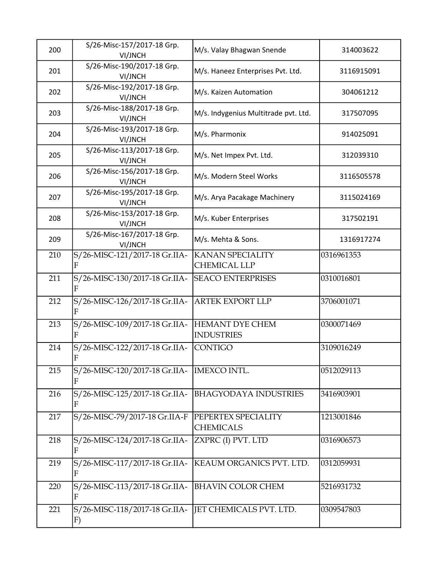| 200 | S/26-Misc-157/2017-18 Grp.<br>VI/JNCH             | M/s. Valay Bhagwan Snende                   | 314003622  |
|-----|---------------------------------------------------|---------------------------------------------|------------|
| 201 | S/26-Misc-190/2017-18 Grp.<br>VI/JNCH             | M/s. Haneez Enterprises Pvt. Ltd.           | 3116915091 |
| 202 | S/26-Misc-192/2017-18 Grp.<br>VI/JNCH             | M/s. Kaizen Automation                      | 304061212  |
| 203 | S/26-Misc-188/2017-18 Grp.<br>VI/JNCH             | M/s. Indygenius Multitrade pvt. Ltd.        | 317507095  |
| 204 | S/26-Misc-193/2017-18 Grp.<br>VI/JNCH             | M/s. Pharmonix                              | 914025091  |
| 205 | S/26-Misc-113/2017-18 Grp.<br>VI/JNCH             | M/s. Net Impex Pvt. Ltd.                    | 312039310  |
| 206 | S/26-Misc-156/2017-18 Grp.<br>VI/JNCH             | M/s. Modern Steel Works                     | 3116505578 |
| 207 | S/26-Misc-195/2017-18 Grp.<br>VI/JNCH             | M/s. Arya Pacakage Machinery                | 3115024169 |
| 208 | S/26-Misc-153/2017-18 Grp.<br>VI/JNCH             | M/s. Kuber Enterprises                      | 317502191  |
| 209 | S/26-Misc-167/2017-18 Grp.<br>VI/JNCH             | M/s. Mehta & Sons.                          | 1316917274 |
| 210 | S/26-MISC-121/2017-18 Gr.IIA-<br>F                | <b>KANAN SPECIALITY</b><br>CHEMICAL LLP     | 0316961353 |
| 211 | S/26-MISC-130/2017-18 Gr.IIA-<br>F                | <b>SEACO ENTERPRISES</b>                    | 0310016801 |
| 212 | S/26-MISC-126/2017-18 Gr.IIA-<br>F                | <b>ARTEK EXPORT LLP</b>                     | 3706001071 |
| 213 | S/26-MISC-109/2017-18 Gr.IIA-<br>$\boldsymbol{F}$ | <b>HEMANT DYE CHEM</b><br><b>INDUSTRIES</b> | 0300071469 |
| 214 | S/26-MISC-122/2017-18 Gr.IIA-<br>${\bf F}$        | <b>CONTIGO</b>                              | 3109016249 |
| 215 | S/26-MISC-120/2017-18 Gr.IIA-                     | <b>IMEXCO INTL.</b>                         | 0512029113 |
| 216 | S/26-MISC-125/2017-18 Gr.IIA-                     | <b>BHAGYODAYA INDUSTRIES</b>                | 3416903901 |
| 217 | S/26-MISC-79/2017-18 Gr.IIA-F                     | PEPERTEX SPECIALITY<br><b>CHEMICALS</b>     | 1213001846 |
| 218 | S/26-MISC-124/2017-18 Gr.IIA-<br>F                | ZXPRC (I) PVT. LTD                          | 0316906573 |
| 219 | S/26-MISC-117/2017-18 Gr.IIA-<br>F                | KEAUM ORGANICS PVT. LTD.                    | 0312059931 |
| 220 | S/26-MISC-113/2017-18 Gr.IIA-<br>F                | <b>BHAVIN COLOR CHEM</b>                    | 5216931732 |
| 221 | S/26-MISC-118/2017-18 Gr.IIA-<br>F)               | JET CHEMICALS PVT. LTD.                     | 0309547803 |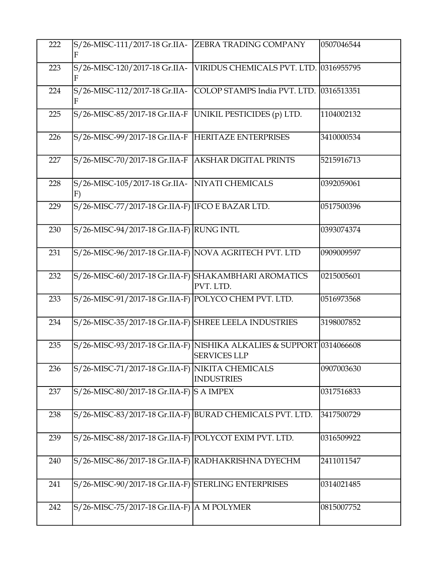| 222 | S/26-MISC-111/2017-18 Gr.IIA- ZEBRA TRADING COMPANY   |                                                                                             | 0507046544 |
|-----|-------------------------------------------------------|---------------------------------------------------------------------------------------------|------------|
| 223 | S/26-MISC-120/2017-18 Gr.IIA-                         | VIRIDUS CHEMICALS PVT. LTD. 0316955795                                                      |            |
| 224 | S/26-MISC-112/2017-18 Gr.IIA-<br>F                    | COLOP STAMPS India PVT. LTD.                                                                | 0316513351 |
| 225 | S/26-MISC-85/2017-18 Gr.IIA-F                         | UNIKIL PESTICIDES (p) LTD.                                                                  | 1104002132 |
| 226 | S/26-MISC-99/2017-18 Gr.IIA-F HERITAZE ENTERPRISES    |                                                                                             | 3410000534 |
| 227 | S/26-MISC-70/2017-18 Gr.IIA-F                         | <b>AKSHAR DIGITAL PRINTS</b>                                                                | 5215916713 |
| 228 | S/26-MISC-105/2017-18 Gr.IIA-<br>F)                   | NIYATI CHEMICALS                                                                            | 0392059061 |
| 229 | S/26-MISC-77/2017-18 Gr.IIA-F) IFCO E BAZAR LTD.      |                                                                                             | 0517500396 |
| 230 | S/26-MISC-94/2017-18 Gr.IIA-F) RUNG INTL              |                                                                                             | 0393074374 |
| 231 | S/26-MISC-96/2017-18 Gr.IIA-F) NOVA AGRITECH PVT. LTD |                                                                                             | 0909009597 |
| 232 | S/26-MISC-60/2017-18 Gr.IIA-F) SHAKAMBHARI AROMATICS  | PVT. LTD.                                                                                   | 0215005601 |
| 233 | S/26-MISC-91/2017-18 Gr.IIA-F) POLYCO CHEM PVT. LTD.  |                                                                                             | 0516973568 |
| 234 | S/26-MISC-35/2017-18 Gr.IIA-F) SHREE LEELA INDUSTRIES |                                                                                             | 3198007852 |
| 235 |                                                       | S/26-MISC-93/2017-18 Gr.IIA-F) NISHIKA ALKALIES & SUPPORT 0314066608<br><b>SERVICES LLP</b> |            |
| 236 | S/26-MISC-71/2017-18 Gr.IIA-F)  NIKITA CHEMICALS      | <b>INDUSTRIES</b>                                                                           | 0907003630 |
| 237 | S/26-MISC-80/2017-18 Gr.IIA-F) S A IMPEX              |                                                                                             | 0317516833 |
| 238 |                                                       | S/26-MISC-83/2017-18 Gr.IIA-F) BURAD CHEMICALS PVT. LTD.                                    | 3417500729 |
| 239 | S/26-MISC-88/2017-18 Gr.IIA-F) POLYCOT EXIM PVT. LTD. |                                                                                             | 0316509922 |
| 240 | S/26-MISC-86/2017-18 Gr.IIA-F) RADHAKRISHNA DYECHM    |                                                                                             | 2411011547 |
| 241 | S/26-MISC-90/2017-18 Gr.IIA-F) STERLING ENTERPRISES   |                                                                                             | 0314021485 |
| 242 | S/26-MISC-75/2017-18 Gr.IIA-F) A M POLYMER            |                                                                                             | 0815007752 |